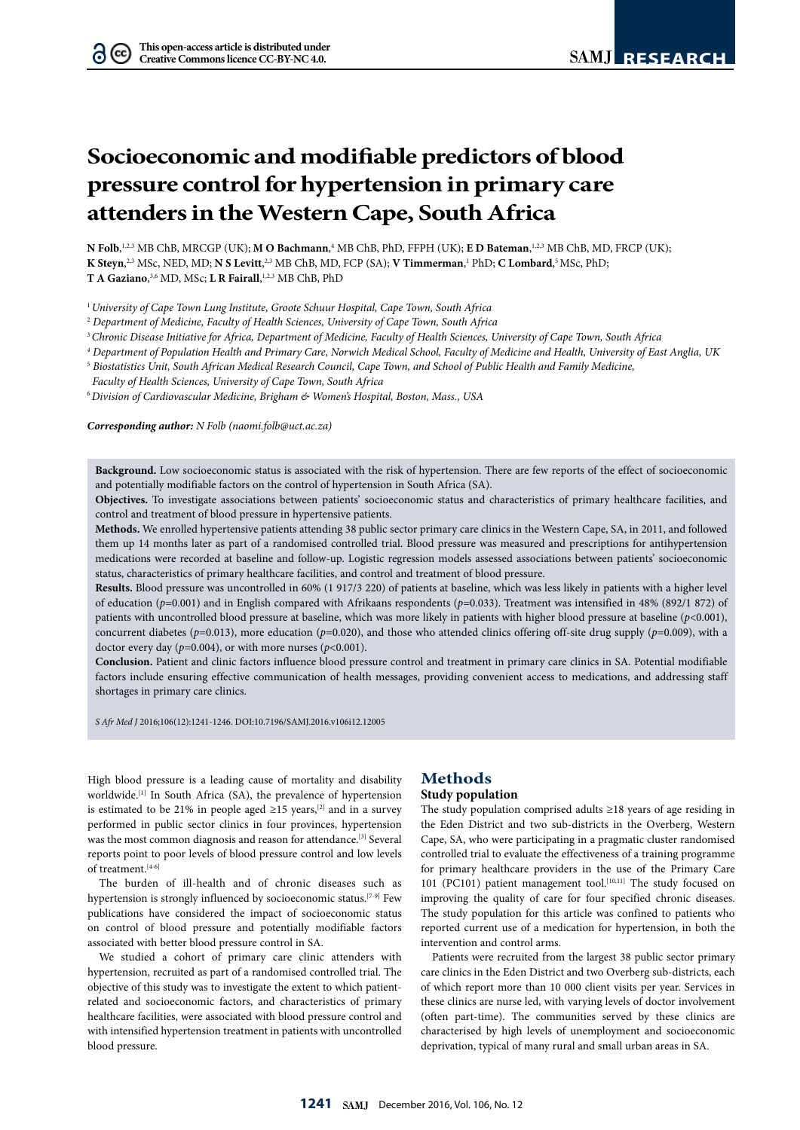# **Socioeconomic and modifiable predictors of blood pressure control for hypertension in primary care attenders in the Western Cape, South Africa**

**N Folb**, 1,2,3 MB ChB, MRCGP (UK); **M O Bachmann**, 4 MB ChB, PhD, FFPH (UK); **E D Bateman**, 1,2,3 MB ChB, MD, FRCP (UK); **K Steyn, 2,3 MSc, NED, MD; N S Levitt, 2,3 MB ChB, MD, FCP (SA); <b>V Timmerman**, 1 PhD; **C Lombard**, 5 MSc, PhD; **T A Gaziano**, 3,6 MD, MSc; **L R Fairall**, 1,2,3 MB ChB, PhD

<sup>1</sup>*University of Cape Town Lung Institute, Groote Schuur Hospital, Cape Town, South Africa*

<sup>2</sup> *Department of Medicine, Faculty of Health Sciences, University of Cape Town, South Africa*

<sup>3</sup>*Chronic Disease Initiative for Africa, Department of Medicine, Faculty of Health Sciences, University of Cape Town, South Africa*

*<sup>4</sup> Department of Population Health and Primary Care, Norwich Medical School, Faculty of Medicine and Health, University of East Anglia, UK*

<sup>5</sup> *Biostatistics Unit, South African Medical Research Council, Cape Town, and School of Public Health and Family Medicine,* 

 *Faculty of Health Sciences, University of Cape Town, South Africa* 

<sup>6</sup>*Division of Cardiovascular Medicine, Brigham & Women's Hospital, Boston, Mass., USA*

*Corresponding author: N Folb (naomi.folb@uct.ac.za)*

**Background.** Low socioeconomic status is associated with the risk of hypertension. There are few reports of the effect of socioeconomic and potentially modifiable factors on the control of hypertension in South Africa (SA).

**Objectives.** To investigate associations between patients' socioeconomic status and characteristics of primary healthcare facilities, and control and treatment of blood pressure in hypertensive patients.

**Methods.** We enrolled hypertensive patients attending 38 public sector primary care clinics in the Western Cape, SA, in 2011, and followed them up 14 months later as part of a randomised controlled trial. Blood pressure was measured and prescriptions for antihypertension medications were recorded at baseline and follow-up. Logistic regression models assessed associations between patients' socioeconomic status, characteristics of primary healthcare facilities, and control and treatment of blood pressure.

**Results.** Blood pressure was uncontrolled in 60% (1 917/3 220) of patients at baseline, which was less likely in patients with a higher level of education (*p*=0.001) and in English compared with Afrikaans respondents (*p*=0.033). Treatment was intensified in 48% (892/1 872) of patients with uncontrolled blood pressure at baseline, which was more likely in patients with higher blood pressure at baseline (*p*<0.001), concurrent diabetes ( $p=0.013$ ), more education ( $p=0.020$ ), and those who attended clinics offering off-site drug supply ( $p=0.009$ ), with a doctor every day ( $p=0.004$ ), or with more nurses ( $p<0.001$ ).

**Conclusion.** Patient and clinic factors influence blood pressure control and treatment in primary care clinics in SA. Potential modifiable factors include ensuring effective communication of health messages, providing convenient access to medications, and addressing staff shortages in primary care clinics.

*S Afr Med J* 2016;106(12):1241-1246. DOI:10.7196/SAMJ.2016.v106i12.12005

High blood pressure is a leading cause of mortality and disability worldwide.<sup>[1]</sup> In South Africa (SA), the prevalence of hypertension is estimated to be 21% in people aged  $\geq$ 15 years,<sup>[2]</sup> and in a survey performed in public sector clinics in four provinces, hypertension was the most common diagnosis and reason for attendance.<sup>[3]</sup> Several reports point to poor levels of blood pressure control and low levels of treatment.[4-6]

The burden of ill-health and of chronic diseases such as hypertension is strongly influenced by socioeconomic status.<sup>[7-9]</sup> Few publications have considered the impact of socioeconomic status on control of blood pressure and potentially modifiable factors associated with better blood pressure control in SA.

We studied a cohort of primary care clinic attenders with hypertension, recruited as part of a randomised controlled trial. The objective of this study was to investigate the extent to which patientrelated and socioeconomic factors, and characteristics of primary healthcare facilities, were associated with blood pressure control and with intensified hypertension treatment in patients with uncontrolled blood pressure.

## **Methods**

#### **Study population**

The study population comprised adults ≥18 years of age residing in the Eden District and two sub-districts in the Overberg, Western Cape, SA, who were participating in a pragmatic cluster randomised controlled trial to evaluate the effectiveness of a training programme for primary healthcare providers in the use of the Primary Care 101 (PC101) patient management tool.<sup>[10,11]</sup> The study focused on improving the quality of care for four specified chronic diseases. The study population for this article was confined to patients who reported current use of a medication for hypertension, in both the intervention and control arms.

Patients were recruited from the largest 38 public sector primary care clinics in the Eden District and two Overberg sub-districts, each of which report more than 10 000 client visits per year. Services in these clinics are nurse led, with varying levels of doctor involvement (often part-time). The communities served by these clinics are characterised by high levels of unemployment and socioeconomic deprivation, typical of many rural and small urban areas in SA.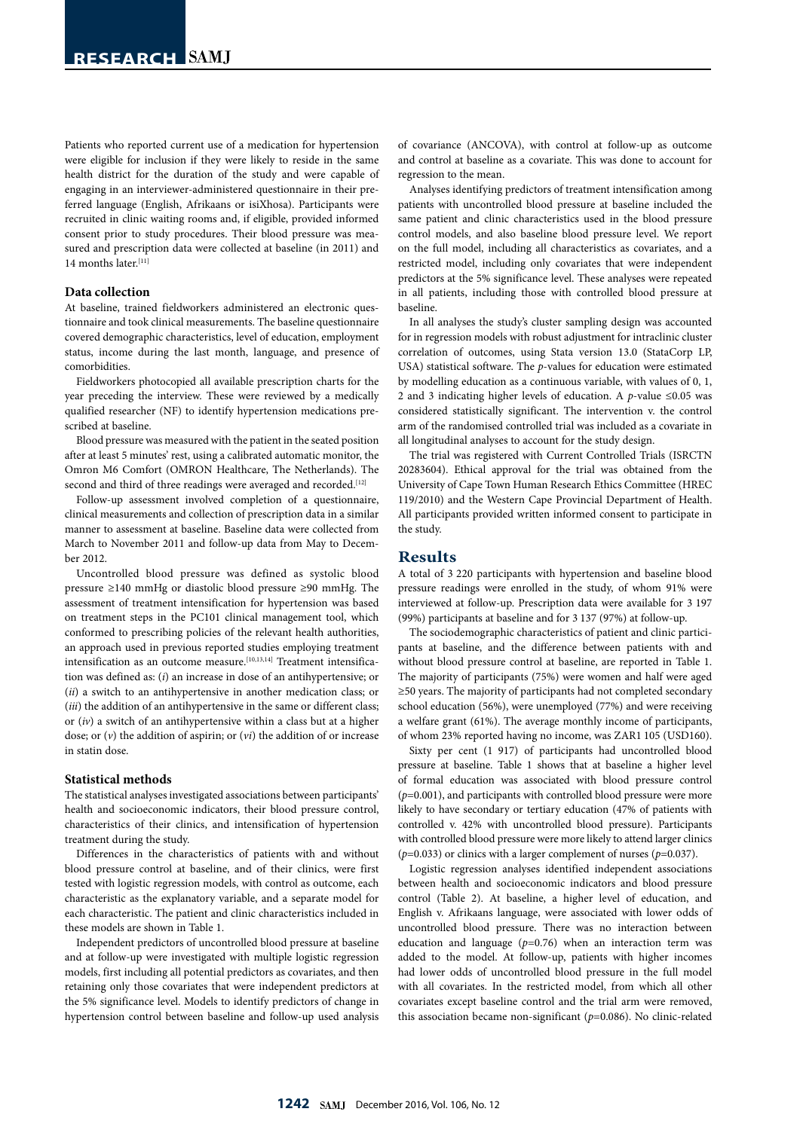Patients who reported current use of a medication for hypertension were eligible for inclusion if they were likely to reside in the same health district for the duration of the study and were capable of engaging in an interviewer-administered questionnaire in their preferred language (English, Afrikaans or isiXhosa). Participants were recruited in clinic waiting rooms and, if eligible, provided informed consent prior to study procedures. Their blood pressure was measured and prescription data were collected at baseline (in 2011) and 14 months later.[11]

#### **Data collection**

At baseline, trained fieldworkers administered an electronic questionnaire and took clinical measurements. The baseline questionnaire covered demographic characteristics, level of education, employment status, income during the last month, language, and presence of comorbidities.

Fieldworkers photocopied all available prescription charts for the year preceding the interview. These were reviewed by a medically qualified researcher (NF) to identify hypertension medications prescribed at baseline.

Blood pressure was measured with the patient in the seated position after at least 5 minutes' rest, using a calibrated automatic monitor, the Omron M6 Comfort (OMRON Healthcare, The Netherlands). The second and third of three readings were averaged and recorded.<sup>[12]</sup>

Follow-up assessment involved completion of a questionnaire, clinical measurements and collection of prescription data in a similar manner to assessment at baseline. Baseline data were collected from March to November 2011 and follow-up data from May to December 2012.

Uncontrolled blood pressure was defined as systolic blood pressure ≥140 mmHg or diastolic blood pressure ≥90 mmHg. The assessment of treatment intensification for hypertension was based on treatment steps in the PC101 clinical management tool, which conformed to prescribing policies of the relevant health authorities, an approach used in previous reported studies employing treatment intensification as an outcome measure.<sup>[10,13,14]</sup> Treatment intensification was defined as: (*i*) an increase in dose of an antihypertensive; or (*ii*) a switch to an antihypertensive in another medication class; or (*iii*) the addition of an antihypertensive in the same or different class; or (*iv*) a switch of an antihypertensive within a class but at a higher dose; or (*v*) the addition of aspirin; or (*vi*) the addition of or increase in statin dose.

#### **Statistical methods**

The statistical analyses investigated associations between participants' health and socioeconomic indicators, their blood pressure control, characteristics of their clinics, and intensification of hypertension treatment during the study.

Differences in the characteristics of patients with and without blood pressure control at baseline, and of their clinics, were first tested with logistic regression models, with control as outcome, each characteristic as the explanatory variable, and a separate model for each characteristic. The patient and clinic characteristics included in these models are shown in Table 1.

Independent predictors of uncontrolled blood pressure at baseline and at follow-up were investigated with multiple logistic regression models, first including all potential predictors as covariates, and then retaining only those covariates that were independent predictors at the 5% significance level. Models to identify predictors of change in hypertension control between baseline and follow-up used analysis

of covariance (ANCOVA), with control at follow-up as outcome and control at baseline as a covariate. This was done to account for regression to the mean.

Analyses identifying predictors of treatment intensification among patients with uncontrolled blood pressure at baseline included the same patient and clinic characteristics used in the blood pressure control models, and also baseline blood pressure level. We report on the full model, including all characteristics as covariates, and a restricted model, including only covariates that were independent predictors at the 5% significance level. These analyses were repeated in all patients, including those with controlled blood pressure at baseline.

In all analyses the study's cluster sampling design was accounted for in regression models with robust adjustment for intraclinic cluster correlation of outcomes, using Stata version 13.0 (StataCorp LP, USA) statistical software. The *p*-values for education were estimated by modelling education as a continuous variable, with values of 0, 1, 2 and 3 indicating higher levels of education. A *p*-value ≤0.05 was considered statistically significant. The intervention v. the control arm of the randomised controlled trial was included as a covariate in all longitudinal analyses to account for the study design.

The trial was registered with Current Controlled Trials (ISRCTN 20283604). Ethical approval for the trial was obtained from the University of Cape Town Human Research Ethics Committee (HREC 119/2010) and the Western Cape Provincial Department of Health. All participants provided written informed consent to participate in the study.

### **Results**

A total of 3 220 participants with hypertension and baseline blood pressure readings were enrolled in the study, of whom 91% were interviewed at follow-up. Prescription data were available for 3 197 (99%) participants at baseline and for 3 137 (97%) at follow-up.

The sociodemographic characteristics of patient and clinic participants at baseline, and the difference between patients with and without blood pressure control at baseline, are reported in Table 1. The majority of participants (75%) were women and half were aged ≥50 years. The majority of participants had not completed secondary school education (56%), were unemployed (77%) and were receiving a welfare grant (61%). The average monthly income of participants, of whom 23% reported having no income, was ZAR1 105 (USD160).

Sixty per cent (1 917) of participants had uncontrolled blood pressure at baseline. Table 1 shows that at baseline a higher level of formal education was associated with blood pressure control (*p*=0.001), and participants with controlled blood pressure were more likely to have secondary or tertiary education (47% of patients with controlled v. 42% with uncontrolled blood pressure). Participants with controlled blood pressure were more likely to attend larger clinics (*p*=0.033) or clinics with a larger complement of nurses (*p*=0.037).

Logistic regression analyses identified independent associations between health and socioeconomic indicators and blood pressure control (Table 2). At baseline, a higher level of education, and English v. Afrikaans language, were associated with lower odds of uncontrolled blood pressure. There was no interaction between education and language  $(p=0.76)$  when an interaction term was added to the model. At follow-up, patients with higher incomes had lower odds of uncontrolled blood pressure in the full model with all covariates. In the restricted model, from which all other covariates except baseline control and the trial arm were removed, this association became non-significant (*p*=0.086). No clinic-related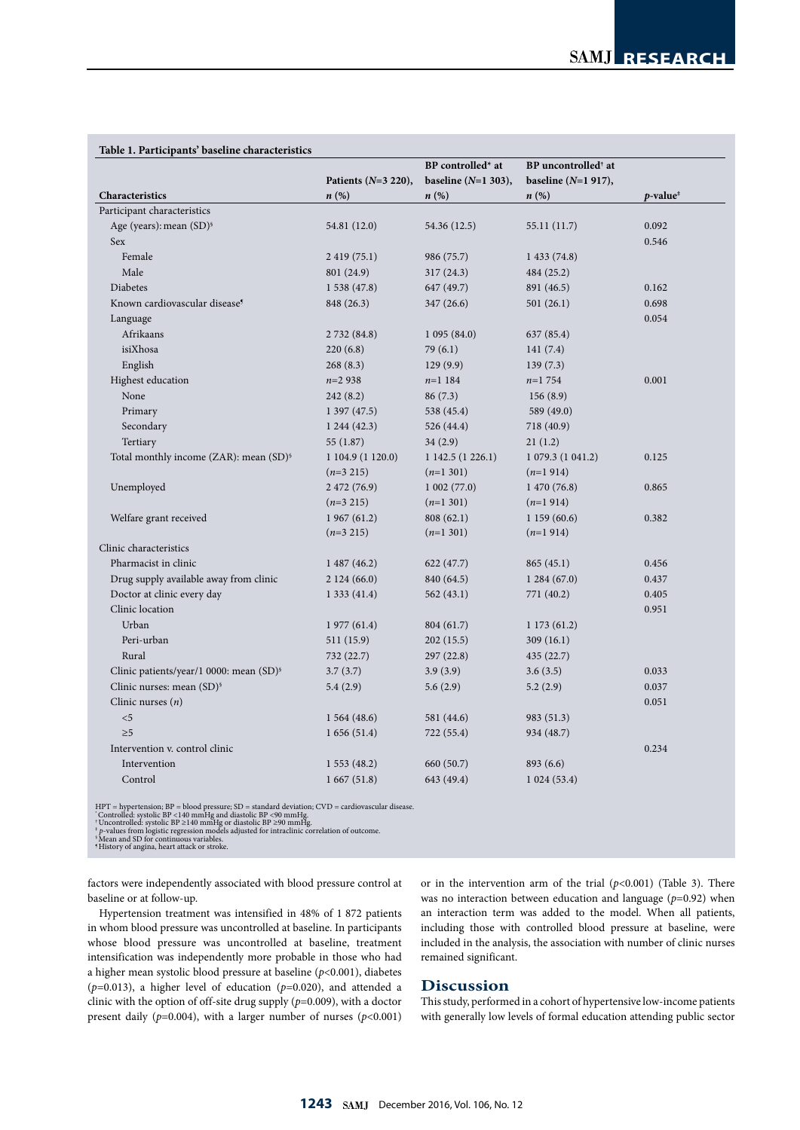|                                                     |                        | BP controlled* at      | BP uncontrolled <sup>†</sup> at |                                             |  |
|-----------------------------------------------------|------------------------|------------------------|---------------------------------|---------------------------------------------|--|
|                                                     | Patients $(N=3 220)$ , | baseline ( $N=1$ 303), | baseline $(N=1 917)$ ,          |                                             |  |
| Characteristics                                     | $n(\%)$                | n(%)                   | $n\left(\%\right)$              | $p$ -value <sup><math>\ddagger</math></sup> |  |
| Participant characteristics                         |                        |                        |                                 |                                             |  |
| Age (years): mean (SD) <sup>§</sup>                 | 54.81 (12.0)           | 54.36 (12.5)           | 55.11 (11.7)                    | 0.092                                       |  |
| Sex                                                 |                        |                        |                                 | 0.546                                       |  |
| Female                                              | 2 419 (75.1)           | 986 (75.7)             | 1433(74.8)                      |                                             |  |
| Male                                                | 801 (24.9)             | 317(24.3)              | 484 (25.2)                      |                                             |  |
| Diabetes                                            | 1538(47.8)             | 647 (49.7)             | 891 (46.5)                      | 0.162                                       |  |
| Known cardiovascular disease <sup>5</sup>           | 848 (26.3)             | 347 (26.6)             | 501(26.1)                       | 0.698                                       |  |
| Language                                            |                        |                        |                                 | 0.054                                       |  |
| Afrikaans                                           | 2 732 (84.8)           | 1095(84.0)             | 637 (85.4)                      |                                             |  |
| isiXhosa                                            | 220(6.8)               | 79 (6.1)               | 141(7.4)                        |                                             |  |
| English                                             | 268(8.3)               | 129(9.9)               | 139(7.3)                        |                                             |  |
| Highest education                                   | $n=2938$               | $n=1$ 184              | $n=1754$                        | 0.001                                       |  |
| None                                                | 242 (8.2)              | 86(7.3)                | 156(8.9)                        |                                             |  |
| Primary                                             | 1397(47.5)             | 538 (45.4)             | 589 (49.0)                      |                                             |  |
| Secondary                                           | 1244(42.3)             | 526 (44.4)             | 718 (40.9)                      |                                             |  |
| Tertiary                                            | 55 (1.87)              | 34(2.9)                | 21(1.2)                         |                                             |  |
| Total monthly income (ZAR): mean (SD) <sup>§</sup>  | 1 104.9 (1 120.0)      | 1 142.5 (1 226.1)      | 1 079.3 (1 041.2)               | 0.125                                       |  |
|                                                     | $(n=3 215)$            | $(n=1301)$             | $(n=1914)$                      |                                             |  |
| Unemployed                                          | 2 472 (76.9)           | 1002(77.0)             | 1470(76.8)                      | 0.865                                       |  |
|                                                     | $(n=3 215)$            | $(n=1301)$             | $(n=1914)$                      |                                             |  |
| Welfare grant received                              | 1967(61.2)             | 808(62.1)              | 1159(60.6)                      | 0.382                                       |  |
|                                                     | $(n=3 215)$            | $(n=1301)$             | $(n=1914)$                      |                                             |  |
| Clinic characteristics                              |                        |                        |                                 |                                             |  |
| Pharmacist in clinic                                | 1487(46.2)             | 622(47.7)              | 865(45.1)                       | 0.456                                       |  |
| Drug supply available away from clinic              | 2124(66.0)             | 840 (64.5)             | 1284(67.0)                      | 0.437                                       |  |
| Doctor at clinic every day                          | 1333(41.4)             | 562 (43.1)             | 771 (40.2)                      | 0.405                                       |  |
| Clinic location                                     |                        |                        |                                 | 0.951                                       |  |
| Urban                                               | 1977(61.4)             | 804 (61.7)             | 1173(61.2)                      |                                             |  |
| Peri-urban                                          | 511 (15.9)             | 202(15.5)              | 309(16.1)                       |                                             |  |
| Rural                                               | 732 (22.7)             | 297(22.8)              | 435 (22.7)                      |                                             |  |
| Clinic patients/year/1 0000: mean (SD) <sup>§</sup> | 3.7(3.7)               | 3.9(3.9)               | 3.6(3.5)                        | 0.033                                       |  |
| Clinic nurses: mean (SD) <sup>§</sup>               | 5.4(2.9)               | 5.6(2.9)               | 5.2(2.9)                        | 0.037                                       |  |
| Clinic nurses $(n)$                                 |                        |                        |                                 | 0.051                                       |  |
| $<$ 5                                               | 1564(48.6)             | 581 (44.6)             | 983 (51.3)                      |                                             |  |
| $\geq 5$                                            | 1656(51.4)             | 722 (55.4)             | 934 (48.7)                      |                                             |  |
| Intervention v. control clinic                      |                        |                        |                                 | 0.234                                       |  |
| Intervention                                        | 1553(48.2)             | 660 (50.7)             | 893 (6.6)                       |                                             |  |
| Control                                             | 1667(51.8)             | 643 (49.4)             | 1024(53.4)                      |                                             |  |

#### **Table 1. Participants' baseline characteristics**

HPT = hypertension; BP = blood pressure; SD = standard deviation; CVD = cardiovascular disease.<br>'Controlled: systolic BP <140 mmHg and diastolic BP <90 mmHg.<br>'Uncontrolled: systolic BP ≥140 mmHg or diastolic BP ≥90 mmHg.<br>

factors were independently associated with blood pressure control at baseline or at follow-up.

Hypertension treatment was intensified in 48% of 1 872 patients in whom blood pressure was uncontrolled at baseline. In participants whose blood pressure was uncontrolled at baseline, treatment intensification was independently more probable in those who had a higher mean systolic blood pressure at baseline (*p*<0.001), diabetes (*p*=0.013), a higher level of education (*p*=0.020), and attended a clinic with the option of off-site drug supply (*p*=0.009), with a doctor present daily (*p*=0.004), with a larger number of nurses (*p*<0.001)

or in the intervention arm of the trial (*p*<0.001) (Table 3). There was no interaction between education and language ( $p=0.92$ ) when an interaction term was added to the model. When all patients, including those with controlled blood pressure at baseline, were included in the analysis, the association with number of clinic nurses remained significant.

### **Discussion**

This study, performed in a cohort of hypertensive low-income patients with generally low levels of formal education attending public sector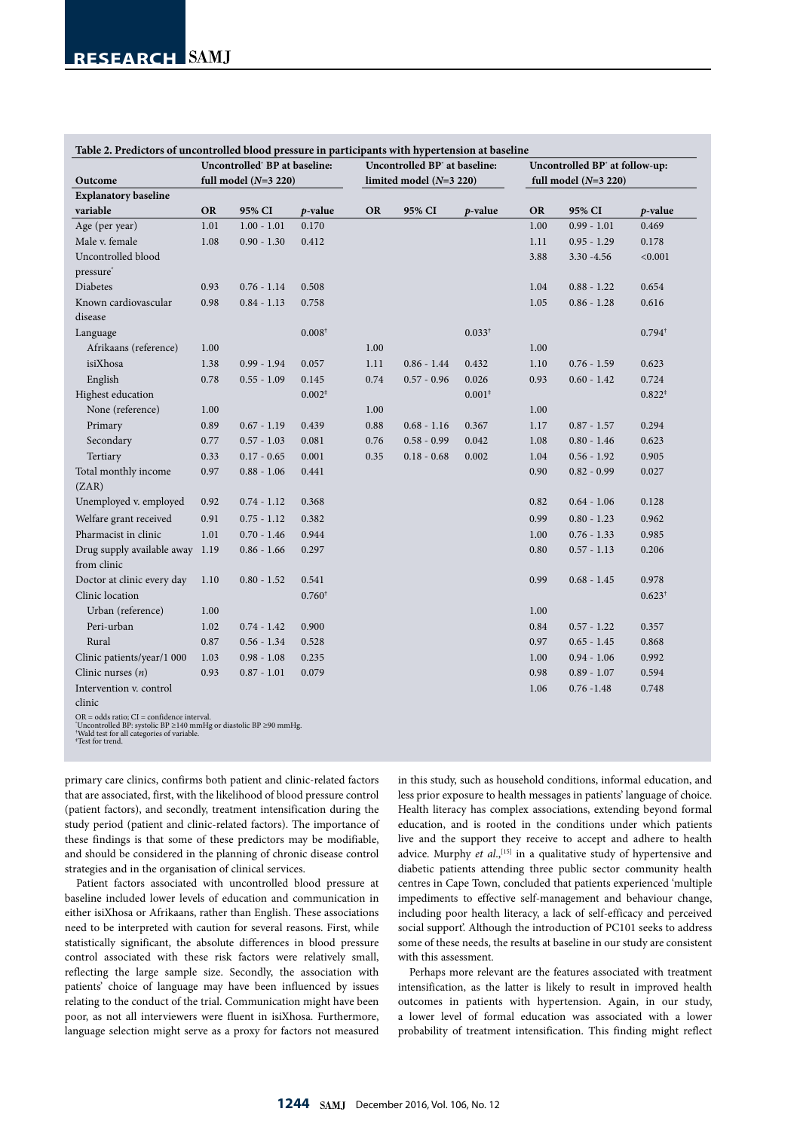|                                            | Uncontrolled' BP at baseline: |               |                   |                           | Uncontrolled BP <sup>*</sup> at baseline: |             | Uncontrolled BP' at follow-up: |               |                   |
|--------------------------------------------|-------------------------------|---------------|-------------------|---------------------------|-------------------------------------------|-------------|--------------------------------|---------------|-------------------|
| Outcome                                    | full model $(N=3 220)$        |               |                   | limited model $(N=3 220)$ |                                           |             | full model $(N=3 220)$         |               |                   |
| <b>Explanatory baseline</b>                |                               |               |                   |                           |                                           |             |                                |               |                   |
| variable                                   | <b>OR</b>                     | 95% CI        | p-value           | <b>OR</b>                 | 95% CI                                    | $p$ -value  | <b>OR</b>                      | 95% CI        | $p$ -value        |
| Age (per year)                             | 1.01                          | $1.00 - 1.01$ | 0.170             |                           |                                           |             | 1.00                           | $0.99 - 1.01$ | 0.469             |
| Male v. female                             | 1.08                          | $0.90 - 1.30$ | 0.412             |                           |                                           |             | 1.11                           | $0.95 - 1.29$ | 0.178             |
| Uncontrolled blood                         |                               |               |                   |                           |                                           |             | 3.88                           | $3.30 - 4.56$ | < 0.001           |
| pressure <sup>*</sup>                      |                               |               |                   |                           |                                           |             |                                |               |                   |
| <b>Diabetes</b>                            | 0.93                          | $0.76 - 1.14$ | 0.508             |                           |                                           |             | 1.04                           | $0.88 - 1.22$ | 0.654             |
| Known cardiovascular                       | 0.98                          | $0.84 - 1.13$ | 0.758             |                           |                                           |             | 1.05                           | $0.86 - 1.28$ | 0.616             |
| disease                                    |                               |               |                   |                           |                                           |             |                                |               |                   |
| Language                                   |                               |               | $0.008^{\dagger}$ |                           |                                           | $0.033^{+}$ |                                |               | $0.794^{\dagger}$ |
| Afrikaans (reference)                      | 1.00                          |               |                   | 1.00                      |                                           |             | $1.00\,$                       |               |                   |
| isiXhosa                                   | 1.38                          | $0.99 - 1.94$ | 0.057             | 1.11                      | $0.86 - 1.44$                             | 0.432       | 1.10                           | $0.76 - 1.59$ | 0.623             |
| English                                    | 0.78                          | $0.55 - 1.09$ | 0.145             | 0.74                      | $0.57 - 0.96$                             | 0.026       | 0.93                           | $0.60 - 1.42$ | 0.724             |
| Highest education                          |                               |               | $0.002*$          |                           |                                           | $0.001*$    |                                |               | $0.822*$          |
| None (reference)                           | 1.00                          |               |                   | 1.00                      |                                           |             | 1.00                           |               |                   |
| Primary                                    | 0.89                          | $0.67 - 1.19$ | 0.439             | 0.88                      | $0.68 - 1.16$                             | 0.367       | 1.17                           | $0.87 - 1.57$ | 0.294             |
| Secondary                                  | 0.77                          | $0.57 - 1.03$ | 0.081             | 0.76                      | $0.58 - 0.99$                             | 0.042       | $1.08\,$                       | $0.80 - 1.46$ | 0.623             |
| Tertiary                                   | 0.33                          | $0.17 - 0.65$ | 0.001             | 0.35                      | $0.18 - 0.68$                             | 0.002       | 1.04                           | $0.56 - 1.92$ | 0.905             |
| Total monthly income                       | 0.97                          | $0.88 - 1.06$ | 0.441             |                           |                                           |             | 0.90                           | $0.82 - 0.99$ | 0.027             |
| (ZAR)                                      |                               |               |                   |                           |                                           |             |                                |               |                   |
| Unemployed v. employed                     | 0.92                          | $0.74 - 1.12$ | 0.368             |                           |                                           |             | 0.82                           | $0.64 - 1.06$ | 0.128             |
| Welfare grant received                     | 0.91                          | $0.75 - 1.12$ | 0.382             |                           |                                           |             | 0.99                           | $0.80 - 1.23$ | 0.962             |
| Pharmacist in clinic                       | 1.01                          | $0.70 - 1.46$ | 0.944             |                           |                                           |             | 1.00                           | $0.76 - 1.33$ | 0.985             |
| Drug supply available away 1.19            |                               | $0.86 - 1.66$ | 0.297             |                           |                                           |             | 0.80                           | $0.57 - 1.13$ | 0.206             |
| from clinic                                |                               |               |                   |                           |                                           |             |                                |               |                   |
| Doctor at clinic every day                 | 1.10                          | $0.80 - 1.52$ | 0.541             |                           |                                           |             | 0.99                           | $0.68 - 1.45$ | 0.978             |
| Clinic location                            |                               |               | $0.760^{\dagger}$ |                           |                                           |             |                                |               | $0.623^{\dagger}$ |
| Urban (reference)                          | 1.00                          |               |                   |                           |                                           |             | 1.00                           |               |                   |
| Peri-urban                                 | 1.02                          | $0.74 - 1.42$ | 0.900             |                           |                                           |             | 0.84                           | $0.57 - 1.22$ | 0.357             |
| Rural                                      | 0.87                          | $0.56 - 1.34$ | 0.528             |                           |                                           |             | 0.97                           | $0.65 - 1.45$ | 0.868             |
| Clinic patients/year/1 000                 | 1.03                          | $0.98 - 1.08$ | 0.235             |                           |                                           |             | 1.00                           | $0.94 - 1.06$ | 0.992             |
| Clinic nurses $(n)$                        | 0.93                          | $0.87 - 1.01$ | 0.079             |                           |                                           |             | 0.98                           | $0.89 - 1.07$ | 0.594             |
| Intervention v. control                    |                               |               |                   |                           |                                           |             | 1.06                           | $0.76 - 1.48$ | 0.748             |
| clinic                                     |                               |               |                   |                           |                                           |             |                                |               |                   |
| OR = odds ratio; CI = confidence interval. |                               |               |                   |                           |                                           |             |                                |               |                   |

\* Uncontrolled BP: systolic BP ≥140 mmHg or diastolic BP ≥90 mmHg. † Wald test for all categories of variable.

‡ Test for trend.

primary care clinics, confirms both patient and clinic-related factors that are associated, first, with the likelihood of blood pressure control (patient factors), and secondly, treatment intensification during the study period (patient and clinic-related factors). The importance of these findings is that some of these predictors may be modifiable, and should be considered in the planning of chronic disease control strategies and in the organisation of clinical services.

Patient factors associated with uncontrolled blood pressure at baseline included lower levels of education and communication in either isiXhosa or Afrikaans, rather than English. These associations need to be interpreted with caution for several reasons. First, while statistically significant, the absolute differences in blood pressure control associated with these risk factors were relatively small, reflecting the large sample size. Secondly, the association with patients' choice of language may have been influenced by issues relating to the conduct of the trial. Communication might have been poor, as not all interviewers were fluent in isiXhosa. Furthermore, language selection might serve as a proxy for factors not measured

in this study, such as household conditions, informal education, and less prior exposure to health messages in patients' language of choice. Health literacy has complex associations, extending beyond formal education, and is rooted in the conditions under which patients live and the support they receive to accept and adhere to health advice. Murphy et al.,<sup>[15]</sup> in a qualitative study of hypertensive and diabetic patients attending three public sector community health centres in Cape Town, concluded that patients experienced 'multiple impediments to effective self-management and behaviour change, including poor health literacy, a lack of self-efficacy and perceived social support'. Although the introduction of PC101 seeks to address some of these needs, the results at baseline in our study are consistent with this assessment.

Perhaps more relevant are the features associated with treatment intensification, as the latter is likely to result in improved health outcomes in patients with hypertension. Again, in our study, a lower level of formal education was associated with a lower probability of treatment intensification. This finding might reflect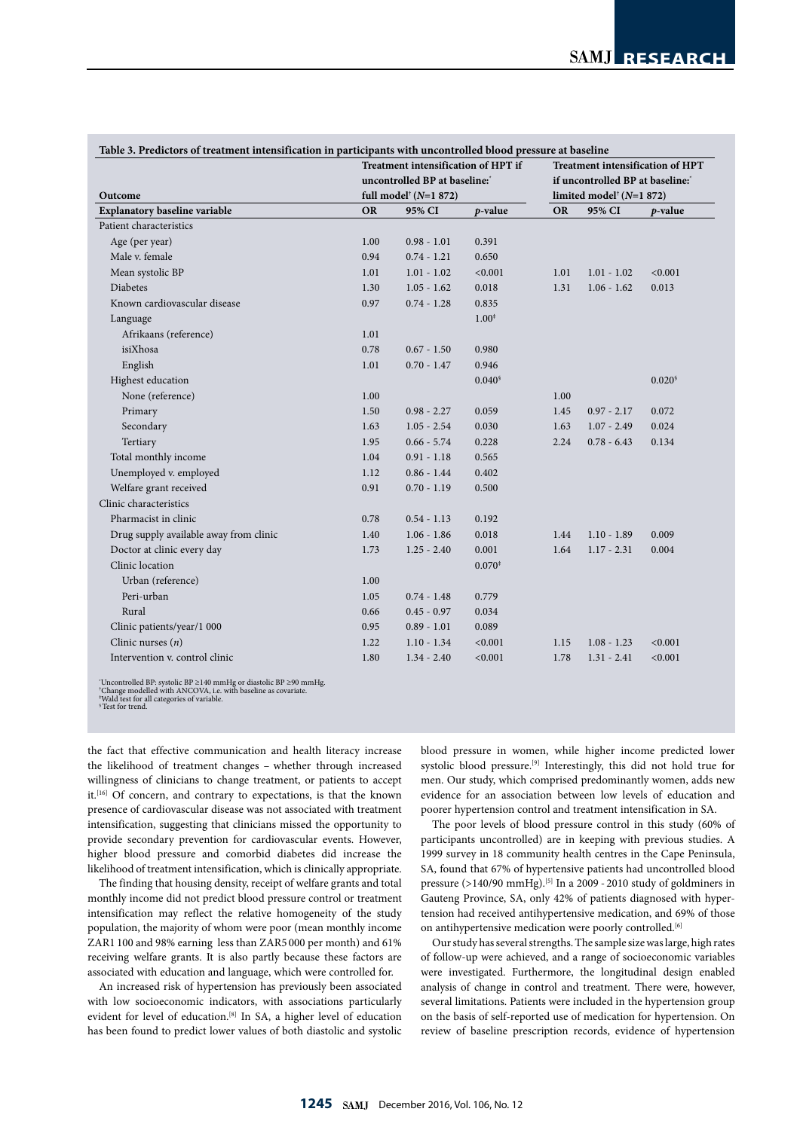|                                        | Treatment intensification of HPT if                                                  |               |            |                                                                                            | <b>Treatment intensification of HPT</b> |                 |  |
|----------------------------------------|--------------------------------------------------------------------------------------|---------------|------------|--------------------------------------------------------------------------------------------|-----------------------------------------|-----------------|--|
|                                        | uncontrolled BP at baseline:<br>full model <sup><math>\dagger</math></sup> (N=1 872) |               |            | if uncontrolled BP at baseline:<br>limited model <sup><math>\dagger</math></sup> (N=1 872) |                                         |                 |  |
| Outcome                                |                                                                                      |               |            |                                                                                            |                                         |                 |  |
| <b>Explanatory baseline variable</b>   | <b>OR</b>                                                                            | 95% CI        | $p$ -value | <b>OR</b>                                                                                  | 95% CI                                  | p-value         |  |
| Patient characteristics                |                                                                                      |               |            |                                                                                            |                                         |                 |  |
| Age (per year)                         | 1.00                                                                                 | $0.98 - 1.01$ | 0.391      |                                                                                            |                                         |                 |  |
| Male v. female                         | 0.94                                                                                 | $0.74 - 1.21$ | 0.650      |                                                                                            |                                         |                 |  |
| Mean systolic BP                       | 1.01                                                                                 | $1.01 - 1.02$ | < 0.001    | 1.01                                                                                       | $1.01 - 1.02$                           | < 0.001         |  |
| <b>Diabetes</b>                        | 1.30                                                                                 | $1.05 - 1.62$ | 0.018      | 1.31                                                                                       | $1.06 - 1.62$                           | 0.013           |  |
| Known cardiovascular disease           | 0.97                                                                                 | $0.74 - 1.28$ | 0.835      |                                                                                            |                                         |                 |  |
| Language                               |                                                                                      |               | $1.00*$    |                                                                                            |                                         |                 |  |
| Afrikaans (reference)                  | 1.01                                                                                 |               |            |                                                                                            |                                         |                 |  |
| isiXhosa                               | 0.78                                                                                 | $0.67 - 1.50$ | 0.980      |                                                                                            |                                         |                 |  |
| English                                | 1.01                                                                                 | $0.70 - 1.47$ | 0.946      |                                                                                            |                                         |                 |  |
| Highest education                      |                                                                                      |               | 0.040      |                                                                                            |                                         | $0.020^{\circ}$ |  |
| None (reference)                       | 1.00                                                                                 |               |            | 1.00                                                                                       |                                         |                 |  |
| Primary                                | 1.50                                                                                 | $0.98 - 2.27$ | 0.059      | 1.45                                                                                       | $0.97 - 2.17$                           | 0.072           |  |
| Secondary                              | 1.63                                                                                 | $1.05 - 2.54$ | 0.030      | 1.63                                                                                       | $1.07 - 2.49$                           | 0.024           |  |
| Tertiary                               | 1.95                                                                                 | $0.66 - 5.74$ | 0.228      | 2.24                                                                                       | $0.78 - 6.43$                           | 0.134           |  |
| Total monthly income                   | 1.04                                                                                 | $0.91 - 1.18$ | 0.565      |                                                                                            |                                         |                 |  |
| Unemployed v. employed                 | 1.12                                                                                 | $0.86 - 1.44$ | 0.402      |                                                                                            |                                         |                 |  |
| Welfare grant received                 | 0.91                                                                                 | $0.70 - 1.19$ | 0.500      |                                                                                            |                                         |                 |  |
| Clinic characteristics                 |                                                                                      |               |            |                                                                                            |                                         |                 |  |
| Pharmacist in clinic                   | 0.78                                                                                 | $0.54 - 1.13$ | 0.192      |                                                                                            |                                         |                 |  |
| Drug supply available away from clinic | 1.40                                                                                 | $1.06 - 1.86$ | 0.018      | 1.44                                                                                       | $1.10 - 1.89$                           | 0.009           |  |
| Doctor at clinic every day             | 1.73                                                                                 | $1.25 - 2.40$ | 0.001      | 1.64                                                                                       | $1.17 - 2.31$                           | 0.004           |  |
| Clinic location                        |                                                                                      |               | $0.070*$   |                                                                                            |                                         |                 |  |
| Urban (reference)                      | 1.00                                                                                 |               |            |                                                                                            |                                         |                 |  |
| Peri-urban                             | 1.05                                                                                 | $0.74 - 1.48$ | 0.779      |                                                                                            |                                         |                 |  |
| Rural                                  | 0.66                                                                                 | $0.45 - 0.97$ | 0.034      |                                                                                            |                                         |                 |  |
| Clinic patients/year/1 000             | 0.95                                                                                 | $0.89 - 1.01$ | 0.089      |                                                                                            |                                         |                 |  |
| Clinic nurses $(n)$                    | 1.22                                                                                 | $1.10 - 1.34$ | < 0.001    | 1.15                                                                                       | $1.08 - 1.23$                           | < 0.001         |  |
| Intervention v. control clinic         | 1.80                                                                                 | $1.34 - 2.40$ | < 0.001    | 1.78                                                                                       | $1.31 - 2.41$                           | < 0.001         |  |

\* Uncontrolled BP: systolic BP ≥140 mmHg or diastolic BP ≥90 mmHg. † Change modelled with ANCOVA, i.e. with baseline as covariate. ‡ Wald test for all categories of variable.

§ Test for trend.

the fact that effective communication and health literacy increase the likelihood of treatment changes – whether through increased willingness of clinicians to change treatment, or patients to accept it.<sup>[16]</sup> Of concern, and contrary to expectations, is that the known presence of cardiovascular disease was not associated with treatment intensification, suggesting that clinicians missed the opportunity to provide secondary prevention for cardiovascular events. However, higher blood pressure and comorbid diabetes did increase the likelihood of treatment intensification, which is clinically appropriate.

The finding that housing density, receipt of welfare grants and total monthly income did not predict blood pressure control or treatment intensification may reflect the relative homogeneity of the study population, the majority of whom were poor (mean monthly income ZAR1 100 and 98% earning less than ZAR5 000 per month) and 61% receiving welfare grants. It is also partly because these factors are associated with education and language, which were controlled for.

An increased risk of hypertension has previously been associated with low socioeconomic indicators, with associations particularly evident for level of education.<sup>[8]</sup> In SA, a higher level of education has been found to predict lower values of both diastolic and systolic

blood pressure in women, while higher income predicted lower systolic blood pressure.<sup>[9]</sup> Interestingly, this did not hold true for men. Our study, which comprised predominantly women, adds new evidence for an association between low levels of education and poorer hypertension control and treatment intensification in SA.

The poor levels of blood pressure control in this study (60% of participants uncontrolled) are in keeping with previous studies. A 1999 survey in 18 community health centres in the Cape Peninsula, SA, found that 67% of hypertensive patients had uncontrolled blood pressure  $(>140/90 \text{ mmHg})$ .<sup>[5]</sup> In a 2009 - 2010 study of goldminers in Gauteng Province, SA, only 42% of patients diagnosed with hypertension had received antihypertensive medication, and 69% of those on antihypertensive medication were poorly controlled.<sup>[6]</sup>

Our study has several strengths. The sample size was large, high rates of follow-up were achieved, and a range of socioeconomic variables were investigated. Furthermore, the longitudinal design enabled analysis of change in control and treatment. There were, however, several limitations. Patients were included in the hypertension group on the basis of self-reported use of medication for hypertension. On review of baseline prescription records, evidence of hypertension